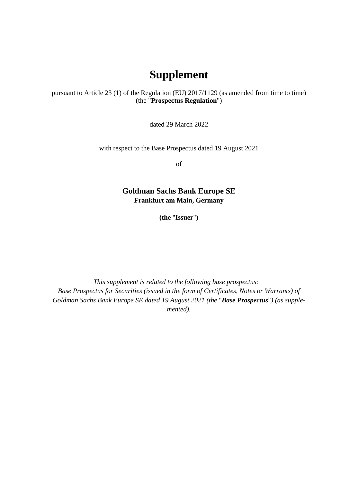## **Supplement**

pursuant to Article 23 (1) of the Regulation (EU) 2017/1129 (as amended from time to time) (the "**Prospectus Regulation**")

dated 29 March 2022

with respect to the Base Prospectus dated 19 August 2021

of

**Goldman Sachs Bank Europe SE Frankfurt am Main, Germany** 

**(the** "**Issuer**"**)** 

*This supplement is related to the following base prospectus: Base Prospectus for Securities (issued in the form of Certificates, Notes or Warrants) of Goldman Sachs Bank Europe SE dated 19 August 2021 (the* "*Base Prospectus*"*) (as supplemented).*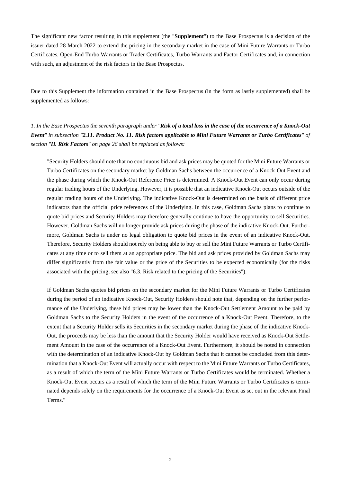The significant new factor resulting in this supplement (the "**Supplement**") to the Base Prospectus is a decision of the issuer dated 28 March 2022 to extend the pricing in the secondary market in the case of Mini Future Warrants or Turbo Certificates, Open-End Turbo Warrants or Trader Certificates, Turbo Warrants and Factor Certificates and, in connection with such, an adjustment of the risk factors in the Base Prospectus.

Due to this Supplement the information contained in the Base Prospectus (in the form as lastly supplemented) shall be supplemented as follows:

*1. In the Base Prospectus the seventh paragraph under "Risk of a total loss in the case of the occurrence of a Knock-Out Event" in subsection "2.11. Product No. 11. Risk factors applicable to Mini Future Warrants or Turbo Certificates" of section "II. Risk Factors" on page 26 shall be replaced as follows:* 

"Security Holders should note that no continuous bid and ask prices may be quoted for the Mini Future Warrants or Turbo Certificates on the secondary market by Goldman Sachs between the occurrence of a Knock-Out Event and the phase during which the Knock-Out Reference Price is determined. A Knock-Out Event can only occur during regular trading hours of the Underlying. However, it is possible that an indicative Knock-Out occurs outside of the regular trading hours of the Underlying. The indicative Knock-Out is determined on the basis of different price indicators than the official price references of the Underlying. In this case, Goldman Sachs plans to continue to quote bid prices and Security Holders may therefore generally continue to have the opportunity to sell Securities. However, Goldman Sachs will no longer provide ask prices during the phase of the indicative Knock-Out. Furthermore, Goldman Sachs is under no legal obligation to quote bid prices in the event of an indicative Knock-Out. Therefore, Security Holders should not rely on being able to buy or sell the Mini Future Warrants or Turbo Certificates at any time or to sell them at an appropriate price. The bid and ask prices provided by Goldman Sachs may differ significantly from the fair value or the price of the Securities to be expected economically (for the risks associated with the pricing, see also "6.3. Risk related to the pricing of the Securities").

If Goldman Sachs quotes bid prices on the secondary market for the Mini Future Warrants or Turbo Certificates during the period of an indicative Knock-Out, Security Holders should note that, depending on the further performance of the Underlying, these bid prices may be lower than the Knock-Out Settlement Amount to be paid by Goldman Sachs to the Security Holders in the event of the occurrence of a Knock-Out Event. Therefore, to the extent that a Security Holder sells its Securities in the secondary market during the phase of the indicative Knock-Out, the proceeds may be less than the amount that the Security Holder would have received as Knock-Out Settlement Amount in the case of the occurrence of a Knock-Out Event. Furthermore, it should be noted in connection with the determination of an indicative Knock-Out by Goldman Sachs that it cannot be concluded from this determination that a Knock-Out Event will actually occur with respect to the Mini Future Warrants or Turbo Certificates, as a result of which the term of the Mini Future Warrants or Turbo Certificates would be terminated. Whether a Knock-Out Event occurs as a result of which the term of the Mini Future Warrants or Turbo Certificates is terminated depends solely on the requirements for the occurrence of a Knock-Out Event as set out in the relevant Final Terms."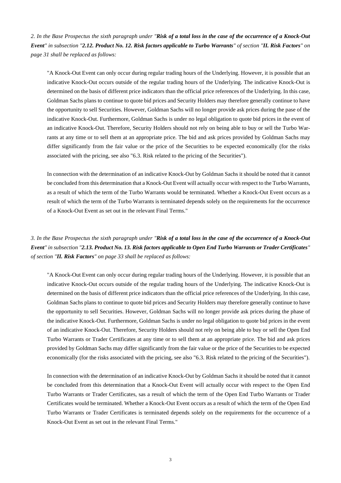*2. In the Base Prospectus the sixth paragraph under "Risk of a total loss in the case of the occurrence of a Knock-Out Event" in subsection "2.12. Product No. 12. Risk factors applicable to Turbo Warrants" of section "II. Risk Factors" on page 31 shall be replaced as follows:* 

"A Knock-Out Event can only occur during regular trading hours of the Underlying. However, it is possible that an indicative Knock-Out occurs outside of the regular trading hours of the Underlying. The indicative Knock-Out is determined on the basis of different price indicators than the official price references of the Underlying. In this case, Goldman Sachs plans to continue to quote bid prices and Security Holders may therefore generally continue to have the opportunity to sell Securities. However, Goldman Sachs will no longer provide ask prices during the pase of the indicative Knock-Out. Furthermore, Goldman Sachs is under no legal obligation to quote bid prices in the event of an indicative Knock-Out. Therefore, Security Holders should not rely on being able to buy or sell the Turbo Warrants at any time or to sell them at an appropriate price. The bid and ask prices provided by Goldman Sachs may differ significantly from the fair value or the price of the Securities to be expected economically (for the risks associated with the pricing, see also "6.3. Risk related to the pricing of the Securities").

In connection with the determination of an indicative Knock-Out by Goldman Sachs it should be noted that it cannot be concluded from this determination that a Knock-Out Event will actually occur with respect to the Turbo Warrants, as a result of which the term of the Turbo Warrants would be terminated. Whether a Knock-Out Event occurs as a result of which the term of the Turbo Warrants is terminated depends solely on the requirements for the occurrence of a Knock-Out Event as set out in the relevant Final Terms."

*3. In the Base Prospectus the sixth paragraph under "Risk of a total loss in the case of the occurrence of a Knock-Out Event" in subsection "2.13. Product No. 13. Risk factors applicable to Open End Turbo Warrants or Trader Certificates" of section "II. Risk Factors" on page 33 shall be replaced as follows:* 

"A Knock-Out Event can only occur during regular trading hours of the Underlying. However, it is possible that an indicative Knock-Out occurs outside of the regular trading hours of the Underlying. The indicative Knock-Out is determined on the basis of different price indicators than the official price references of the Underlying. In this case, Goldman Sachs plans to continue to quote bid prices and Security Holders may therefore generally continue to have the opportunity to sell Securities. However, Goldman Sachs will no longer provide ask prices during the phase of the indicative Knock-Out. Furthermore, Goldman Sachs is under no legal obligation to quote bid prices in the event of an indicative Knock-Out. Therefore, Security Holders should not rely on being able to buy or sell the Open End Turbo Warrants or Trader Certificates at any time or to sell them at an appropriate price. The bid and ask prices provided by Goldman Sachs may differ significantly from the fair value or the price of the Securities to be expected economically (for the risks associated with the pricing, see also "6.3. Risk related to the pricing of the Securities").

In connection with the determination of an indicative Knock-Out by Goldman Sachs it should be noted that it cannot be concluded from this determination that a Knock-Out Event will actually occur with respect to the Open End Turbo Warrants or Trader Certificates, sas a result of which the term of the Open End Turbo Warrants or Trader Certificates would be terminated. Whether a Knock-Out Event occurs as a result of which the term of the Open End Turbo Warrants or Trader Certificates is terminated depends solely on the requirements for the occurrence of a Knock-Out Event as set out in the relevant Final Terms."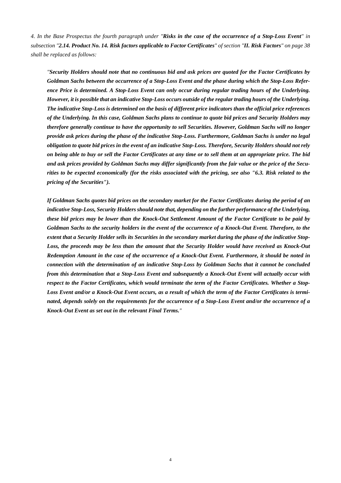*4. In the Base Prospectus the fourth paragraph under "Risks in the case of the occurrence of a Stop-Loss Event" in subsection "2.14. Product No. 14. Risk factors applicable to Factor Certificates" of section "II. Risk Factors" on page 38 shall be replaced as follows:* 

*"Security Holders should note that no continuous bid and ask prices are quoted for the Factor Certificates by Goldman Sachs between the occurrence of a Stop-Loss Event and the phase during which the Stop-Loss Reference Price is determined. A Stop-Loss Event can only occur during regular trading hours of the Underlying. However, it is possible that an indicative Stop-Loss occurs outside of the regular trading hours of the Underlying. The indicative Stop-Loss is determined on the basis of different price indicators than the official price references of the Underlying. In this case, Goldman Sachs plans to continue to quote bid prices and Security Holders may therefore generally continue to have the opportunity to sell Securities. However, Goldman Sachs will no longer provide ask prices during the phase of the indicative Stop-Loss. Furthermore, Goldman Sachs is under no legal obligation to quote bid prices in the event of an indicative Stop-Loss. Therefore, Security Holders should not rely on being able to buy or sell the Factor Certificates at any time or to sell them at an appropriate price. The bid and ask prices provided by Goldman Sachs may differ significantly from the fair value or the price of the Securities to be expected economically (for the risks associated with the pricing, see also "6.3. Risk related to the pricing of the Securities").* 

*If Goldman Sachs quotes bid prices on the secondary market for the Factor Certificates during the period of an indicative Stop-Loss, Security Holders should note that, depending on the further performance of the Underlying, these bid prices may be lower than the Knock-Out Settlement Amount of the Factor Certificate to be paid by Goldman Sachs to the security holders in the event of the occurrence of a Knock-Out Event. Therefore, to the extent that a Security Holder sells its Securities in the secondary market during the phase of the indicative Stop-Loss, the proceeds may be less than the amount that the Security Holder would have received as Knock-Out Redemption Amount in the case of the occurrence of a Knock-Out Event. Furthermore, it should be noted in connection with the determination of an indicative Stop-Loss by Goldman Sachs that it cannot be concluded from this determination that a Stop-Loss Event and subsequently a Knock-Out Event will actually occur with respect to the Factor Certificates, which would terminate the term of the Factor Certificates. Whether a Stop-Loss Event and/or a Knock-Out Event occurs, as a result of which the term of the Factor Certificates is terminated, depends solely on the requirements for the occurrence of a Stop-Loss Event and/or the occurrence of a Knock-Out Event as set out in the relevant Final Terms."*